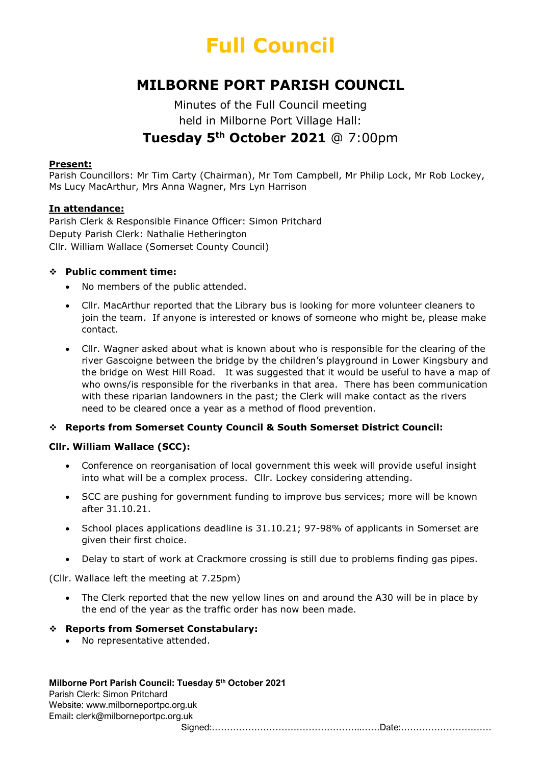# Full Council

# MILBORNE PORT PARISH COUNCIL

## Minutes of the Full Council meeting held in Milborne Port Village Hall: Tuesday 5<sup>th</sup> October 2021 @ 7:00pm

#### Present:

Parish Councillors: Mr Tim Carty (Chairman), Mr Tom Campbell, Mr Philip Lock, Mr Rob Lockey, Ms Lucy MacArthur, Mrs Anna Wagner, Mrs Lyn Harrison

#### In attendance:

Parish Clerk & Responsible Finance Officer: Simon Pritchard Deputy Parish Clerk: Nathalie Hetherington Cllr. William Wallace (Somerset County Council)

#### Public comment time:

- No members of the public attended.
- Cllr. MacArthur reported that the Library bus is looking for more volunteer cleaners to join the team. If anyone is interested or knows of someone who might be, please make contact.
- Cllr. Wagner asked about what is known about who is responsible for the clearing of the river Gascoigne between the bridge by the children's playground in Lower Kingsbury and the bridge on West Hill Road. It was suggested that it would be useful to have a map of who owns/is responsible for the riverbanks in that area. There has been communication with these riparian landowners in the past; the Clerk will make contact as the rivers need to be cleared once a year as a method of flood prevention.

## Reports from Somerset County Council & South Somerset District Council:

## Cllr. William Wallace (SCC):

- Conference on reorganisation of local government this week will provide useful insight into what will be a complex process. Cllr. Lockey considering attending.
- SCC are pushing for government funding to improve bus services; more will be known after 31.10.21.
- School places applications deadline is 31.10.21; 97-98% of applicants in Somerset are given their first choice.
- Delay to start of work at Crackmore crossing is still due to problems finding gas pipes.

(Cllr. Wallace left the meeting at 7.25pm)

• The Clerk reported that the new yellow lines on and around the A30 will be in place by the end of the year as the traffic order has now been made.

#### Reports from Somerset Constabulary:

No representative attended.

#### Milborne Port Parish Council: Tuesday 5<sup>th</sup> October 2021

Parish Clerk: Simon Pritchard Website: www.milborneportpc.org.uk Email: clerk@milborneportpc.org.uk Signed:…………………………………………..……Date:…………………………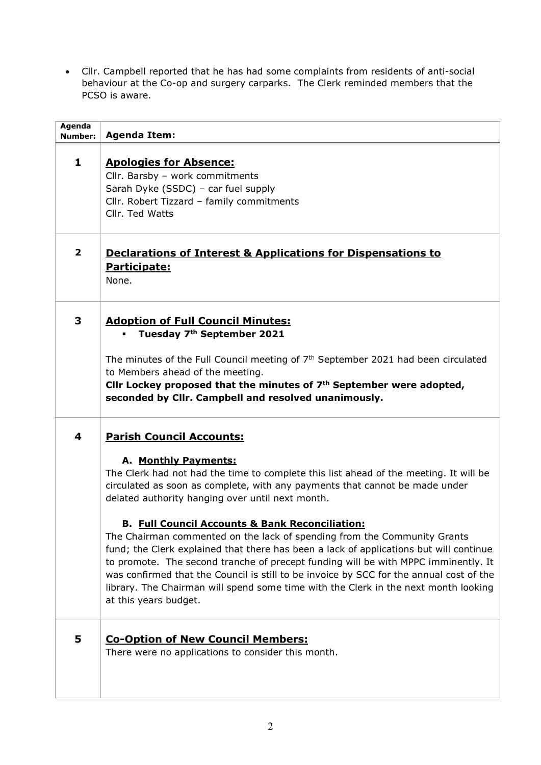Cllr. Campbell reported that he has had some complaints from residents of anti-social behaviour at the Co-op and surgery carparks. The Clerk reminded members that the PCSO is aware.

| Agenda<br>Number: | <b>Agenda Item:</b>                                                                                                                                                                                                                                                                                                                                                                                                                                                                                                                                                                                                                                                                                                                                                                                                      |
|-------------------|--------------------------------------------------------------------------------------------------------------------------------------------------------------------------------------------------------------------------------------------------------------------------------------------------------------------------------------------------------------------------------------------------------------------------------------------------------------------------------------------------------------------------------------------------------------------------------------------------------------------------------------------------------------------------------------------------------------------------------------------------------------------------------------------------------------------------|
| $\mathbf{1}$      | <b>Apologies for Absence:</b><br>Cllr. Barsby - work commitments<br>Sarah Dyke (SSDC) - car fuel supply<br>Cllr. Robert Tizzard - family commitments<br>Cllr. Ted Watts                                                                                                                                                                                                                                                                                                                                                                                                                                                                                                                                                                                                                                                  |
| $\mathbf{2}$      | <b>Declarations of Interest &amp; Applications for Dispensations to</b><br>Participate:<br>None.                                                                                                                                                                                                                                                                                                                                                                                                                                                                                                                                                                                                                                                                                                                         |
| 3                 | <b>Adoption of Full Council Minutes:</b><br>Tuesday 7th September 2021<br>The minutes of the Full Council meeting of $7th$ September 2021 had been circulated<br>to Members ahead of the meeting.<br>CIIr Lockey proposed that the minutes of $7th$ September were adopted,<br>seconded by Cllr. Campbell and resolved unanimously.                                                                                                                                                                                                                                                                                                                                                                                                                                                                                      |
| 4                 | <b>Parish Council Accounts:</b><br>A. Monthly Payments:<br>The Clerk had not had the time to complete this list ahead of the meeting. It will be<br>circulated as soon as complete, with any payments that cannot be made under<br>delated authority hanging over until next month.<br><b>B. Full Council Accounts &amp; Bank Reconciliation:</b><br>The Chairman commented on the lack of spending from the Community Grants<br>fund; the Clerk explained that there has been a lack of applications but will continue<br>to promote. The second tranche of precept funding will be with MPPC imminently. It<br>was confirmed that the Council is still to be invoice by SCC for the annual cost of the<br>library. The Chairman will spend some time with the Clerk in the next month looking<br>at this years budget. |
| 5                 | <b>Co-Option of New Council Members:</b><br>There were no applications to consider this month.                                                                                                                                                                                                                                                                                                                                                                                                                                                                                                                                                                                                                                                                                                                           |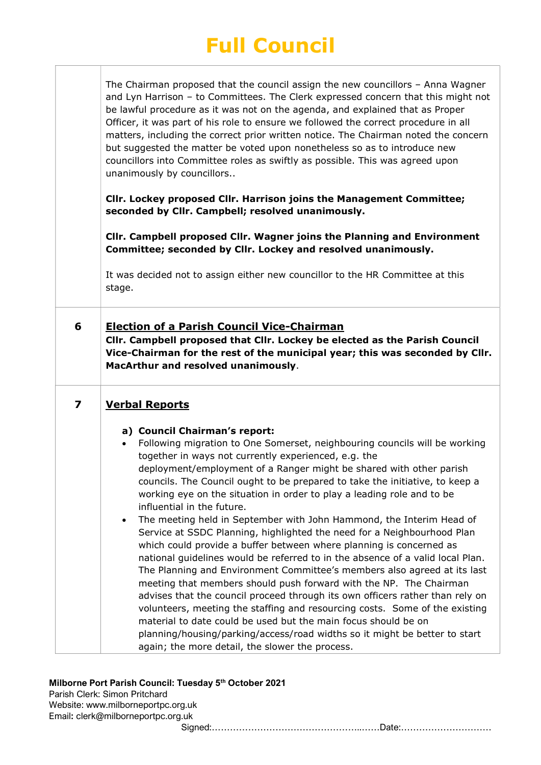# Full Council

The Chairman proposed that the council assign the new councillors – Anna Wagner and Lyn Harrison – to Committees. The Clerk expressed concern that this might not be lawful procedure as it was not on the agenda, and explained that as Proper Officer, it was part of his role to ensure we followed the correct procedure in all matters, including the correct prior written notice. The Chairman noted the concern but suggested the matter be voted upon nonetheless so as to introduce new councillors into Committee roles as swiftly as possible. This was agreed upon unanimously by councillors..

Cllr. Lockey proposed Cllr. Harrison joins the Management Committee; seconded by Cllr. Campbell; resolved unanimously.

Cllr. Campbell proposed Cllr. Wagner joins the Planning and Environment Committee; seconded by Cllr. Lockey and resolved unanimously.

It was decided not to assign either new councillor to the HR Committee at this stage.

6 Election of a Parish Council Vice-Chairman

Cllr. Campbell proposed that Cllr. Lockey be elected as the Parish Council Vice-Chairman for the rest of the municipal year; this was seconded by Cllr. MacArthur and resolved unanimously.

## 7 Verbal Reports

## a) Council Chairman's report:

 Following migration to One Somerset, neighbouring councils will be working together in ways not currently experienced, e.g. the deployment/employment of a Ranger might be shared with other parish councils. The Council ought to be prepared to take the initiative, to keep a working eye on the situation in order to play a leading role and to be influential in the future.

 The meeting held in September with John Hammond, the Interim Head of Service at SSDC Planning, highlighted the need for a Neighbourhood Plan which could provide a buffer between where planning is concerned as national guidelines would be referred to in the absence of a valid local Plan. The Planning and Environment Committee's members also agreed at its last meeting that members should push forward with the NP. The Chairman advises that the council proceed through its own officers rather than rely on volunteers, meeting the staffing and resourcing costs. Some of the existing material to date could be used but the main focus should be on planning/housing/parking/access/road widths so it might be better to start again; the more detail, the slower the process.

## Milborne Port Parish Council: Tuesday 5<sup>th</sup> October 2021

Parish Clerk: Simon Pritchard Website: www.milborneportpc.org.uk Email: clerk@milborneportpc.org.uk

Signed:…………………………………………..……Date:…………………………